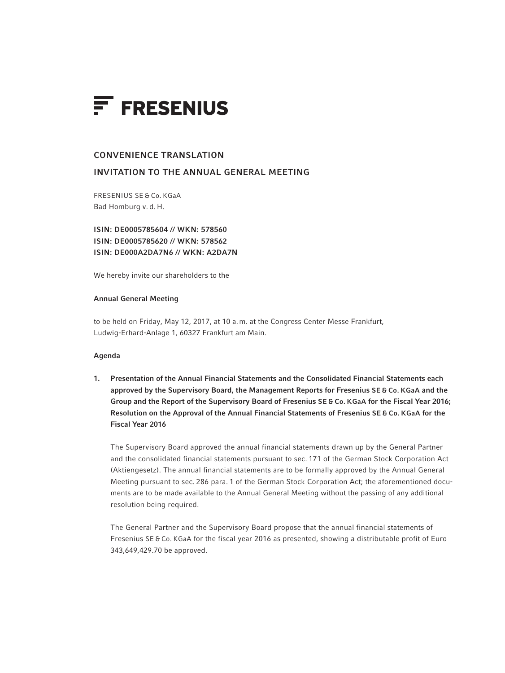

## CONVENIENCE TRANSLATION

## INVITATION TO THE ANNUAL GENERAL MEETING

FRESENIUS SE & Co. KGaA Bad Homburg v. d. H.

ISIN: DE0005785604 // WKN: 578560 ISIN: DE0005785620 // WKN: 578562 ISIN: DE000A2DA7N6 // WKN: A2DA7N

We hereby invite our shareholders to the

#### Annual General Meeting

to be held on Friday, May 12, 2017, at 10 a.m. at the Congress Center Messe Frankfurt, Ludwig-Erhard-Anlage 1, 60327 Frankfurt am Main.

### Agenda

1. Presentation of the Annual Financial Statements and the Consolidated Financial Statements each approved by the Supervisory Board, the Management Reports for Fresenius SE & Co. KGaA and the Group and the Report of the Supervisory Board of Fresenius SE & Co. KGaA for the Fiscal Year 2016; Resolution on the Approval of the Annual Financial Statements of Fresenius SE & Co. KGaA for the Fiscal Year 2016

The Supervisory Board approved the annual financial statements drawn up by the General Partner and the consolidated financial statements pursuant to sec. 171 of the German Stock Corporation Act (Aktiengesetz). The annual financial statements are to be formally approved by the Annual General Meeting pursuant to sec. 286 para. 1 of the German Stock Corporation Act; the aforementioned documents are to be made available to the Annual General Meeting without the passing of any additional resolution being required.

The General Partner and the Supervisory Board propose that the annual financial statements of Fresenius SE & Co. KGaA for the fiscal year 2016 as presented, showing a distributable profit of Euro 343,649,429.70 be approved.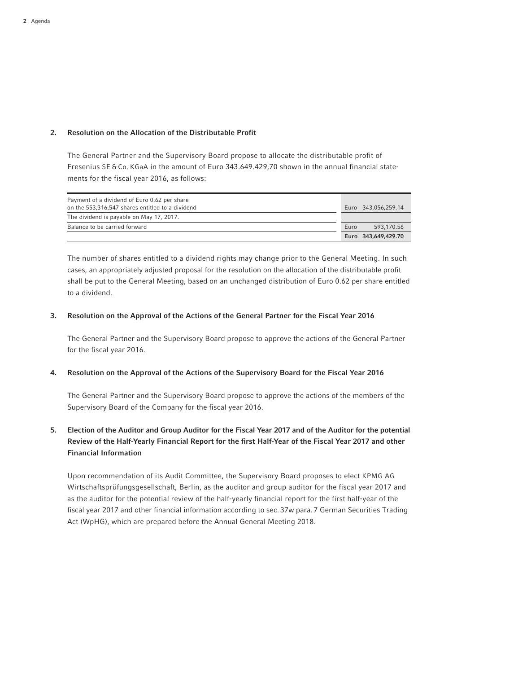## 2. Resolution on the Allocation of the Distributable Profit

The General Partner and the Supervisory Board propose to allocate the distributable profit of Fresenius SE & Co. KGaA in the amount of Euro 343.649.429,70 shown in the annual financial statements for the fiscal year 2016, as follows:

| Payment of a dividend of Euro 0.62 per share<br>on the 553,316,547 shares entitled to a dividend |      | Euro 343,056,259.14 |
|--------------------------------------------------------------------------------------------------|------|---------------------|
| The dividend is payable on May 17, 2017.                                                         |      |                     |
| Balance to be carried forward                                                                    | Euro | 593,170.56          |
|                                                                                                  |      | Euro 343,649,429.70 |

 The number of shares entitled to a dividend rights may change prior to the General Meeting. In such cases, an appropriately adjusted proposal for the resolution on the allocation of the distributable profit shall be put to the General Meeting, based on an unchanged distribution of Euro 0.62 per share entitled to a dividend.

#### 3. Resolution on the Approval of the Actions of the General Partner for the Fiscal Year 2016

 The General Partner and the Supervisory Board propose to approve the actions of the General Partner for the fiscal year 2016.

### 4. Resolution on the Approval of the Actions of the Supervisory Board for the Fiscal Year 2016

 The General Partner and the Supervisory Board propose to approve the actions of the members of the Supervisory Board of the Company for the fiscal year 2016.

# 5. Election of the Auditor and Group Auditor for the Fiscal Year 2017 and of the Auditor for the potential Review of the Half-Yearly Financial Report for the first Half-Year of the Fiscal Year 2017 and other Financial Information

 Upon recommendation of its Audit Committee, the Supervisory Board proposes to elect KPMG AG Wirtschaftsprüfungsgesellschaft, Berlin, as the auditor and group auditor for the fiscal year 2017 and as the auditor for the potential review of the half-yearly financial report for the first half-year of the fiscal year 2017 and other financial information according to sec. 37w para. 7 German Securities Trading Act (WpHG), which are prepared before the Annual General Meeting 2018.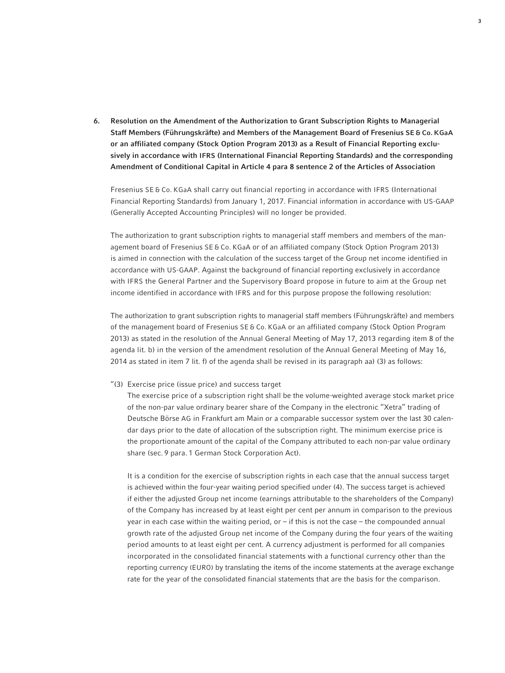6. Resolution on the Amendment of the Authorization to Grant Subscription Rights to Managerial Staff Members (Führungskräfte) and Members of the Management Board of Fresenius SE & Co. KGaA or an affiliated company (Stock Option Program 2013) as a Result of Financial Reporting exclusively in accordance with IFRS (International Financial Reporting Standards) and the corresponding Amendment of Conditional Capital in Article 4 para 8 sentence 2 of the Articles of Association

 Fresenius SE & Co. KGaA shall carry out financial reporting in accordance with IFRS (International Financial Reporting Standards) from January 1, 2017. Financial information in accordance with US-GAAP (Generally Accepted Accounting Principles) will no longer be provided.

 The authorization to grant subscription rights to managerial staff members and members of the management board of Fresenius SE & Co. KGaA or of an affiliated company (Stock Option Program 2013) is aimed in connection with the calculation of the success target of the Group net income identified in accordance with US-GAAP. Against the background of financial reporting exclusively in accordance with IFRS the General Partner and the Supervisory Board propose in future to aim at the Group net income identified in accordance with IFRS and for this purpose propose the following resolution:

 The authorization to grant subscription rights to managerial staff members (Führungskräfte) and members of the management board of Fresenius SE & Co. KGaA or an affiliated company (Stock Option Program 2013) as stated in the resolution of the Annual General Meeting of May 17, 2013 regarding item 8 of the agenda lit. b) in the version of the amendment resolution of the Annual General Meeting of May 16, 2014 as stated in item 7 lit. f) of the agenda shall be revised in its paragraph aa) (3) as follows:

"(3) Exercise price (issue price) and success target

 The exercise price of a subscription right shall be the volume-weighted average stock market price of the non-par value ordinary bearer share of the Company in the electronic "Xetra" trading of Deutsche Börse AG in Frankfurt am Main or a comparable successor system over the last 30 calendar days prior to the date of allocation of the subscription right. The minimum exercise price is the proportionate amount of the capital of the Company attributed to each non-par value ordinary share (sec. 9 para. 1 German Stock Corporation Act).

 It is a condition for the exercise of subscription rights in each case that the annual success target is achieved within the four-year waiting period specified under (4). The success target is achieved if either the adjusted Group net income (earnings attributable to the shareholders of the Company) of the Company has increased by at least eight per cent per annum in comparison to the previous year in each case within the waiting period,  $or - if$  this is not the case – the compounded annual growth rate of the adjusted Group net income of the Company during the four years of the waiting period amounts to at least eight per cent. A currency adjustment is performed for all companies incorporated in the consolidated financial statements with a functional currency other than the reporting currency (EURO) by translating the items of the income statements at the average exchange rate for the year of the consolidated financial statements that are the basis for the comparison.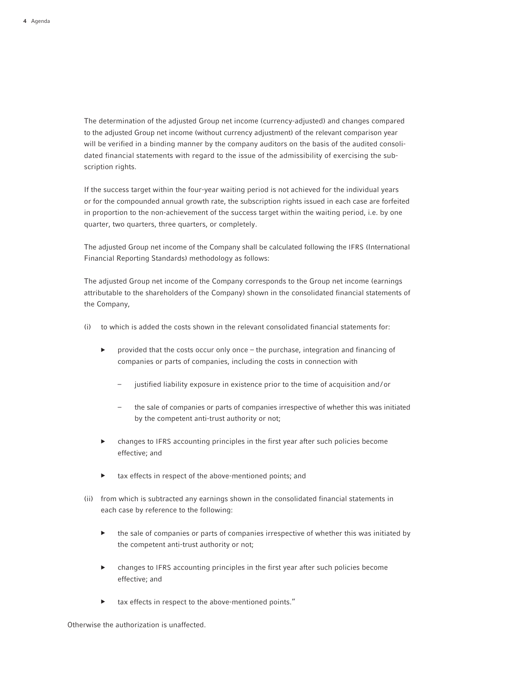The determination of the adjusted Group net income (currency-adjusted) and changes compared to the adjusted Group net income (without currency adjustment) of the relevant comparison year will be verified in a binding manner by the company auditors on the basis of the audited consolidated financial statements with regard to the issue of the admissibility of exercising the subscription rights.

 If the success target within the four-year waiting period is not achieved for the individual years or for the compounded annual growth rate, the subscription rights issued in each case are forfeited in proportion to the non-achievement of the success target within the waiting period, i.e. by one quarter, two quarters, three quarters, or completely.

 The adjusted Group net income of the Company shall be calculated following the IFRS (International Financial Reporting Standards) methodology as follows:

 The adjusted Group net income of the Company corresponds to the Group net income (earnings attributable to the shareholders of the Company) shown in the consolidated financial statements of the Company,

- (i) to which is added the costs shown in the relevant consolidated financial statements for:
	- provided that the costs occur only once the purchase, integration and financing of companies or parts of companies, including the costs in connection with
		- justified liability exposure in existence prior to the time of acquisition and/or
		- the sale of companies or parts of companies irrespective of whether this was initiated by the competent anti-trust authority or not;
	- changes to IFRS accounting principles in the first year after such policies become effective; and
	- ▶ tax effects in respect of the above-mentioned points; and
- (ii) from which is subtracted any earnings shown in the consolidated financial statements in each case by reference to the following:
	- ▶ the sale of companies or parts of companies irrespective of whether this was initiated by the competent anti-trust authority or not;
	- changes to IFRS accounting principles in the first year after such policies become effective; and
	- ▶ tax effects in respect to the above-mentioned points."

Otherwise the authorization is unaffected.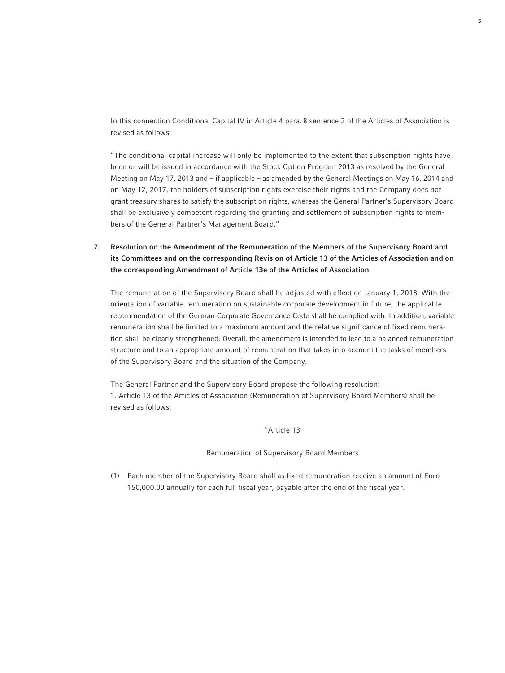In this connection Conditional Capital IV in Article 4 para. 8 sentence 2 of the Articles of Association is revised as follows:

 "The conditional capital increase will only be implemented to the extent that subscription rights have been or will be issued in accordance with the Stock Option Program 2013 as resolved by the General Meeting on May 17, 2013 and – if applicable – as amended by the General Meetings on May 16, 2014 and on May 12, 2017, the holders of subscription rights exercise their rights and the Company does not grant treasury shares to satisfy the subscription rights, whereas the General Partner's Supervisory Board shall be exclusively competent regarding the granting and settlement of subscription rights to members of the General Partner's Management Board."

# 7. Resolution on the Amendment of the Remuneration of the Members of the Supervisory Board and its Committees and on the corresponding Revision of Article 13 of the Articles of Association and on the corresponding Amendment of Article 13e of the Articles of Association

 The remuneration of the Supervisory Board shall be adjusted with effect on January 1, 2018. With the orientation of variable remuneration on sustainable corporate development in future, the applicable recommendation of the German Corporate Governance Code shall be complied with. In addition, variable remuneration shall be limited to a maximum amount and the relative significance of fixed remuneration shall be clearly strengthened. Overall, the amendment is intended to lead to a balanced remuneration structure and to an appropriate amount of remuneration that takes into account the tasks of members of the Supervisory Board and the situation of the Company.

The General Partner and the Supervisory Board propose the following resolution: 1. Article 13 of the Articles of Association (Remuneration of Supervisory Board Members) shall be revised as follows:

"Article 13

Remuneration of Supervisory Board Members

 (1) Each member of the Supervisory Board shall as fixed remuneration receive an amount of Euro 150,000.00 annually for each full fiscal year, payable after the end of the fiscal year.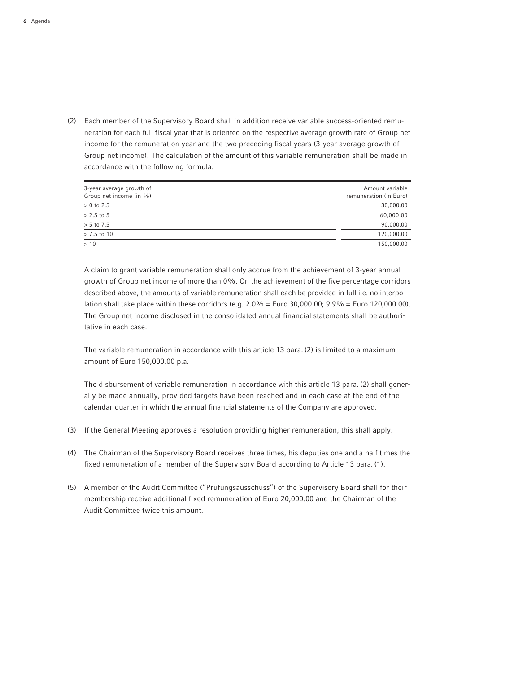(2) Each member of the Supervisory Board shall in addition receive variable success-oriented remuneration for each full fiscal year that is oriented on the respective average growth rate of Group net income for the remuneration year and the two preceding fiscal years (3-year average growth of Group net income). The calculation of the amount of this variable remuneration shall be made in accordance with the following formula:

| 3-year average growth of<br>Group net income (in %) | Amount variable<br>remuneration (in Euro) |
|-----------------------------------------------------|-------------------------------------------|
| $> 0$ to 2.5                                        | 30,000.00                                 |
| $> 2.5$ to 5                                        | 60,000.00                                 |
| $> 5$ to 7.5                                        | 90,000.00                                 |
| $> 7.5$ to 10                                       | 120,000.00                                |
| >10                                                 | 150,000.00                                |

 A claim to grant variable remuneration shall only accrue from the achievement of 3-year annual growth of Group net income of more than 0%. On the achievement of the five percentage corridors described above, the amounts of variable remuneration shall each be provided in full i.e. no interpolation shall take place within these corridors (e.g.  $2.0\%$  = Euro 30,000.00;  $9.9\%$  = Euro 120,000.00). The Group net income disclosed in the consolidated annual financial statements shall be authoritative in each case.

 The variable remuneration in accordance with this article 13 para.(2) is limited to a maximum amount of Euro 150,000.00 p.a.

 The disbursement of variable remuneration in accordance with this article 13 para.(2) shall generally be made annually, provided targets have been reached and in each case at the end of the calendar quarter in which the annual financial statements of the Company are approved.

- (3) If the General Meeting approves a resolution providing higher remuneration, this shall apply.
- (4) The Chairman of the Supervisory Board receives three times, his deputies one and a half times the fixed remuneration of a member of the Supervisory Board according to Article 13 para.(1).
- (5) A member of the Audit Committee ("Prüfungsausschuss") of the Supervisory Board shall for their membership receive additional fixed remuneration of Euro 20,000.00 and the Chairman of the Audit Committee twice this amount.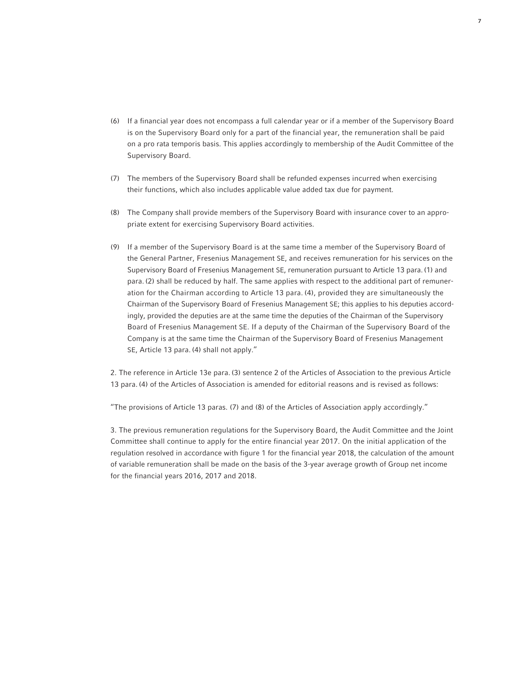- (6) If a financial year does not encompass a full calendar year or if a member of the Supervisory Board is on the Supervisory Board only for a part of the financial year, the remuneration shall be paid on a pro rata temporis basis. This applies accordingly to membership of the Audit Committee of the Supervisory Board.
- (7) The members of the Supervisory Board shall be refunded expenses incurred when exercising their functions, which also includes applicable value added tax due for payment.
- (8) The Company shall provide members of the Supervisory Board with insurance cover to an appropriate extent for exercising Supervisory Board activities.
- (9) If a member of the Supervisory Board is at the same time a member of the Supervisory Board of the General Partner, Fresenius Management SE, and receives remuneration for his services on the Supervisory Board of Fresenius Management SE, remuneration pursuant to Article 13 para.(1) and para.(2) shall be reduced by half. The same applies with respect to the additional part of remuneration for the Chairman according to Article 13 para. (4), provided they are simultaneously the Chairman of the Supervisory Board of Fresenius Management SE; this applies to his deputies accordingly, provided the deputies are at the same time the deputies of the Chairman of the Supervisory Board of Fresenius Management SE. If a deputy of the Chairman of the Supervisory Board of the Company is at the same time the Chairman of the Supervisory Board of Fresenius Management SE, Article 13 para. (4) shall not apply."

 2. The reference in Article 13e para.(3) sentence 2 of the Articles of Association to the previous Article 13 para.(4) of the Articles of Association is amended for editorial reasons and is revised as follows:

"The provisions of Article 13 paras. (7) and (8) of the Articles of Association apply accordingly."

 3. The previous remuneration regulations for the Supervisory Board, the Audit Committee and the Joint Committee shall continue to apply for the entire financial year 2017. On the initial application of the regulation resolved in accordance with figure 1 for the financial year 2018, the calculation of the amount of variable remuneration shall be made on the basis of the 3-year average growth of Group net income for the financial years 2016, 2017 and 2018.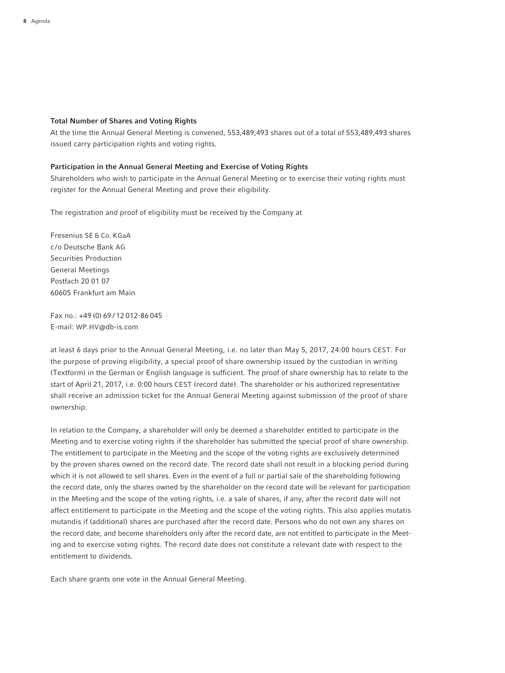#### Total Number of Shares and Voting Rights

At the time the Annual General Meeting is convened, 553,489,493 shares out of a total of 553,489,493 shares issued carry participation rights and voting rights.

#### Participation in the Annual General Meeting and Exercise of Voting Rights

Shareholders who wish to participate in the Annual General Meeting or to exercise their voting rights must register for the Annual General Meeting and prove their eligibility.

The registration and proof of eligibility must be received by the Company at

Fresenius SE & Co. KGaA c /o Deutsche Bank AG Securities Production General Meetings Postfach 20 01 07 60605 Frankfurt am Main

Fax no.: +49 (0) 69 / 12 012-86 045 E-mail: WP.HV@db-is.com

at least 6 days prior to the Annual General Meeting, i.e. no later than May 5, 2017, 24:00 hours CEST. For the purpose of proving eligibility, a special proof of share ownership issued by the custodian in writing (Textform) in the German or English language is sufficient. The proof of share ownership has to relate to the start of April 21, 2017, i.e. 0:00 hours CEST (record date). The shareholder or his authorized representative shall receive an admission ticket for the Annual General Meeting against submission of the proof of share ownership.

In relation to the Company, a shareholder will only be deemed a shareholder entitled to participate in the Meeting and to exercise voting rights if the shareholder has submitted the special proof of share ownership. The entitlement to participate in the Meeting and the scope of the voting rights are exclusively determined by the proven shares owned on the record date. The record date shall not result in a blocking period during which it is not allowed to sell shares. Even in the event of a full or partial sale of the shareholding following the record date, only the shares owned by the shareholder on the record date will be relevant for participation in the Meeting and the scope of the voting rights, i.e. a sale of shares, if any, after the record date will not affect entitlement to participate in the Meeting and the scope of the voting rights. This also applies mutatis mutandis if (additional) shares are purchased after the record date. Persons who do not own any shares on the record date, and become shareholders only after the record date, are not entitled to participate in the Meeting and to exercise voting rights. The record date does not constitute a relevant date with respect to the entitlement to dividends.

Each share grants one vote in the Annual General Meeting.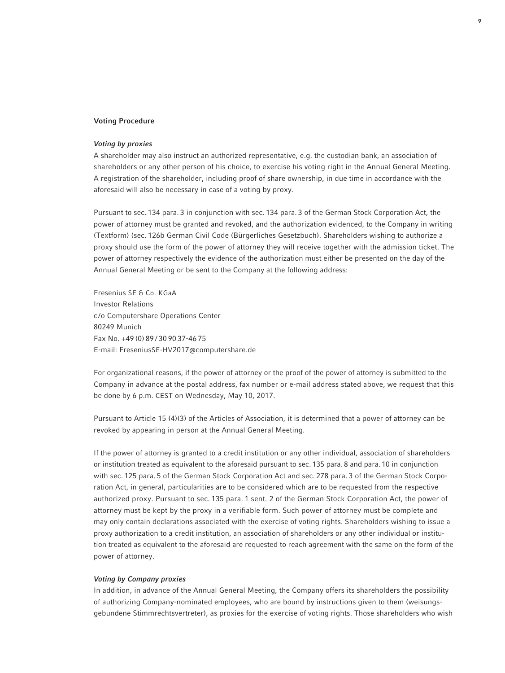#### Voting Procedure

#### *Voting by proxies*

A shareholder may also instruct an authorized representative, e.g. the custodian bank, an association of shareholders or any other person of his choice, to exercise his voting right in the Annual General Meeting. A registration of the shareholder, including proof of share ownership, in due time in accordance with the aforesaid will also be necessary in case of a voting by proxy.

Pursuant to sec. 134 para. 3 in conjunction with sec. 134 para. 3 of the German Stock Corporation Act, the power of attorney must be granted and revoked, and the authorization evidenced, to the Company in writing (Textform) (sec. 126b German Civil Code (Bürgerliches Gesetzbuch). Shareholders wishing to authorize a proxy should use the form of the power of attorney they will receive together with the admission ticket. The power of attorney respectively the evidence of the authorization must either be presented on the day of the Annual General Meeting or be sent to the Company at the following address:

Fresenius SE & Co. KGaA Investor Relations c /o Computershare Operations Center 80249 Munich Fax No. +49 (0) 89 / 30 90 37-46 75 E-mail: FreseniusSE-HV2017@computershare.de

For organizational reasons, if the power of attorney or the proof of the power of attorney is submitted to the Company in advance at the postal address, fax number or e-mail address stated above, we request that this be done by 6 p.m. CEST on Wednesday, May 10, 2017.

Pursuant to Article 15 (4)(3) of the Articles of Association, it is determined that a power of attorney can be revoked by appearing in person at the Annual General Meeting.

If the power of attorney is granted to a credit institution or any other individual, association of shareholders or institution treated as equivalent to the aforesaid pursuant to sec. 135 para. 8 and para. 10 in conjunction with sec. 125 para. 5 of the German Stock Corporation Act and sec. 278 para. 3 of the German Stock Corporation Act, in general, particularities are to be considered which are to be requested from the respective authorized proxy. Pursuant to sec. 135 para. 1 sent. 2 of the German Stock Corporation Act, the power of attorney must be kept by the proxy in a verifiable form. Such power of attorney must be complete and may only contain declarations associated with the exercise of voting rights. Shareholders wishing to issue a proxy authorization to a credit institution, an association of shareholders or any other individual or institution treated as equivalent to the aforesaid are requested to reach agreement with the same on the form of the power of attorney.

#### *Voting by Company proxies*

In addition, in advance of the Annual General Meeting, the Company offers its shareholders the possibility of authorizing Company-nominated employees, who are bound by instructions given to them (weisungsgebundene Stimmrechtsvertreter), as proxies for the exercise of voting rights. Those shareholders who wish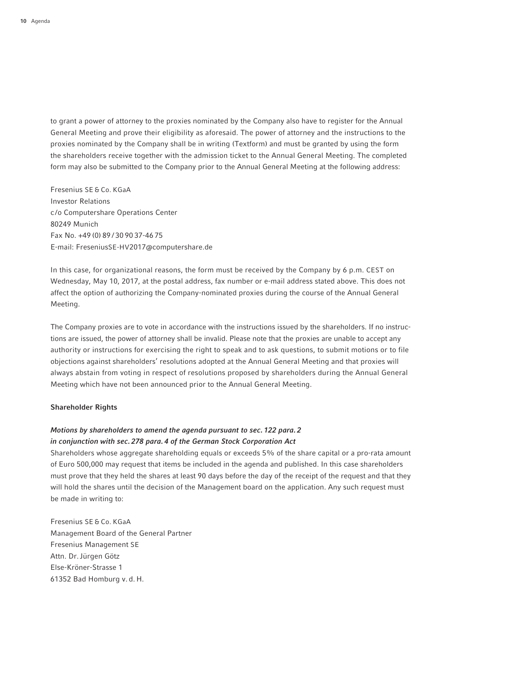to grant a power of attorney to the proxies nominated by the Company also have to register for the Annual General Meeting and prove their eligibility as aforesaid. The power of attorney and the instructions to the proxies nominated by the Company shall be in writing (Textform) and must be granted by using the form the shareholders receive together with the admission ticket to the Annual General Meeting. The completed form may also be submitted to the Company prior to the Annual General Meeting at the following address:

Fresenius SE & Co. KGaA Investor Relations c /o Computershare Operations Center 80249 Munich Fax No. +49 (0) 89 / 30 90 37-46 75 E-mail: FreseniusSE-HV2017@computershare.de

In this case, for organizational reasons, the form must be received by the Company by 6 p.m. CEST on Wednesday, May 10, 2017, at the postal address, fax number or e-mail address stated above. This does not affect the option of authorizing the Company-nominated proxies during the course of the Annual General Meeting.

The Company proxies are to vote in accordance with the instructions issued by the shareholders. If no instructions are issued, the power of attorney shall be invalid. Please note that the proxies are unable to accept any authority or instructions for exercising the right to speak and to ask questions, to submit motions or to file objections against shareholders' resolutions adopted at the Annual General Meeting and that proxies will always abstain from voting in respect of resolutions proposed by shareholders during the Annual General Meeting which have not been announced prior to the Annual General Meeting.

#### Shareholder Rights

## *Motions by shareholders to amend the agenda pursuant to sec. 122 para. 2 in conjunction with sec. 278 para. 4 of the German Stock Corporation Act*

Shareholders whose aggregate shareholding equals or exceeds 5% of the share capital or a pro-rata amount of Euro 500,000 may request that items be included in the agenda and published. In this case shareholders must prove that they held the shares at least 90 days before the day of the receipt of the request and that they will hold the shares until the decision of the Management board on the application. Any such request must be made in writing to:

Fresenius SE & Co. KGaA Management Board of the General Partner Fresenius Management SE Attn. Dr.Jürgen Götz Else-Kröner-Strasse 1 61352 Bad Homburg v. d. H.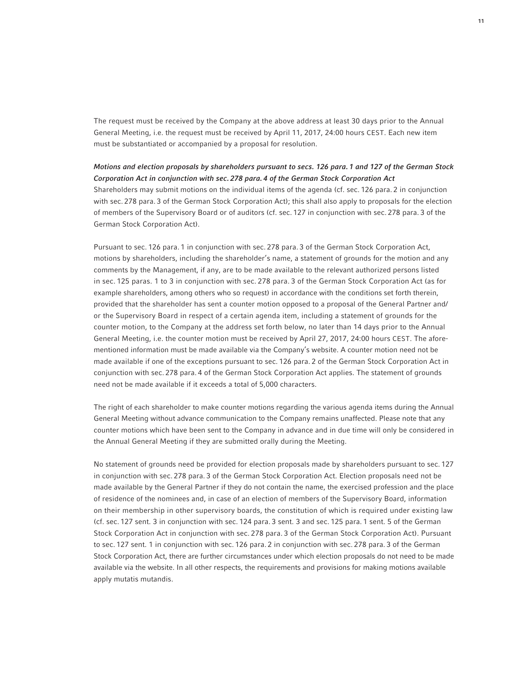The request must be received by the Company at the above address at least 30 days prior to the Annual General Meeting, i.e. the request must be received by April 11, 2017, 24:00 hours CEST. Each new item must be substantiated or accompanied by a proposal for resolution.

# *Motions and election proposals by shareholders pursuant to secs. 126 para. 1 and 127 of the German Stock Corporation Act in conjunction with sec. 278 para. 4 of the German Stock Corporation Act* Shareholders may submit motions on the individual items of the agenda (cf. sec. 126 para. 2 in conjunction with sec. 278 para. 3 of the German Stock Corporation Act); this shall also apply to proposals for the election of members of the Supervisory Board or of auditors (cf. sec. 127 in conjunction with sec. 278 para. 3 of the German Stock Corporation Act).

Pursuant to sec. 126 para. 1 in conjunction with sec. 278 para. 3 of the German Stock Corporation Act, motions by shareholders, including the shareholder's name, a statement of grounds for the motion and any comments by the Management, if any, are to be made available to the relevant authorized persons listed in sec. 125 paras. 1 to 3 in conjunction with sec. 278 para. 3 of the German Stock Corporation Act (as for example shareholders, among others who so request) in accordance with the conditions set forth therein, provided that the shareholder has sent a counter motion opposed to a proposal of the General Partner and/ or the Supervisory Board in respect of a certain agenda item, including a statement of grounds for the counter motion, to the Company at the address set forth below, no later than 14 days prior to the Annual General Meeting, i.e. the counter motion must be received by April 27, 2017, 24:00 hours CEST. The aforementioned information must be made available via the Company's website. A counter motion need not be made available if one of the exceptions pursuant to sec. 126 para. 2 of the German Stock Corporation Act in conjunction with sec. 278 para. 4 of the German Stock Corporation Act applies. The statement of grounds need not be made available if it exceeds a total of 5,000 characters.

The right of each shareholder to make counter motions regarding the various agenda items during the Annual General Meeting without advance communication to the Company remains unaffected. Please note that any counter motions which have been sent to the Company in advance and in due time will only be considered in the Annual General Meeting if they are submitted orally during the Meeting.

No statement of grounds need be provided for election proposals made by shareholders pursuant to sec. 127 in conjunction with sec. 278 para. 3 of the German Stock Corporation Act. Election proposals need not be made available by the General Partner if they do not contain the name, the exercised profession and the place of residence of the nominees and, in case of an election of members of the Supervisory Board, information on their membership in other supervisory boards, the constitution of which is required under existing law (cf. sec. 127 sent. 3 in conjunction with sec. 124 para. 3 sent. 3 and sec. 125 para. 1 sent. 5 of the German Stock Corporation Act in conjunction with sec. 278 para. 3 of the German Stock Corporation Act). Pursuant to sec. 127 sent. 1 in conjunction with sec. 126 para. 2 in conjunction with sec. 278 para. 3 of the German Stock Corporation Act, there are further circumstances under which election proposals do not need to be made available via the website. In all other respects, the requirements and provisions for making motions available apply mutatis mutandis.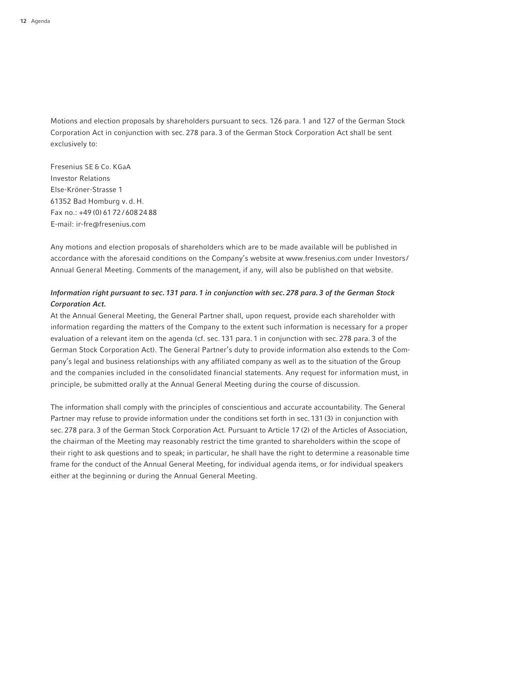Motions and election proposals by shareholders pursuant to secs. 126 para. 1 and 127 of the German Stock Corporation Act in conjunction with sec. 278 para. 3 of the German Stock Corporation Act shall be sent exclusively to:

Fresenius SE & Co. KGaA Investor Relations Else-Kröner-Strasse 1 61352 Bad Homburg v. d. H. Fax no.: +49 (0) 61 72 / 608 24 88 E-mail: ir-fre@fresenius.com

Any motions and election proposals of shareholders which are to be made available will be published in accordance with the aforesaid conditions on the Company's website at www.fresenius.com under Investors / Annual General Meeting. Comments of the management, if any, will also be published on that website.

## *Information right pursuant to sec. 131 para. 1 in conjunction with sec. 278 para. 3 of the German Stock Corporation Act.*

At the Annual General Meeting, the General Partner shall, upon request, provide each shareholder with information regarding the matters of the Company to the extent such information is necessary for a proper evaluation of a relevant item on the agenda (cf. sec. 131 para. 1 in conjunction with sec. 278 para. 3 of the German Stock Corporation Act). The General Partner's duty to provide information also extends to the Company's legal and business relationships with any affiliated company as well as to the situation of the Group and the companies included in the consolidated financial statements. Any request for information must, in principle, be submitted orally at the Annual General Meeting during the course of discussion.

The information shall comply with the principles of conscientious and accurate accountability. The General Partner may refuse to provide information under the conditions set forth in sec. 131 (3) in conjunction with sec. 278 para. 3 of the German Stock Corporation Act. Pursuant to Article 17 (2) of the Articles of Association, the chairman of the Meeting may reasonably restrict the time granted to shareholders within the scope of their right to ask questions and to speak; in particular, he shall have the right to determine a reasonable time frame for the conduct of the Annual General Meeting, for individual agenda items, or for individual speakers either at the beginning or during the Annual General Meeting.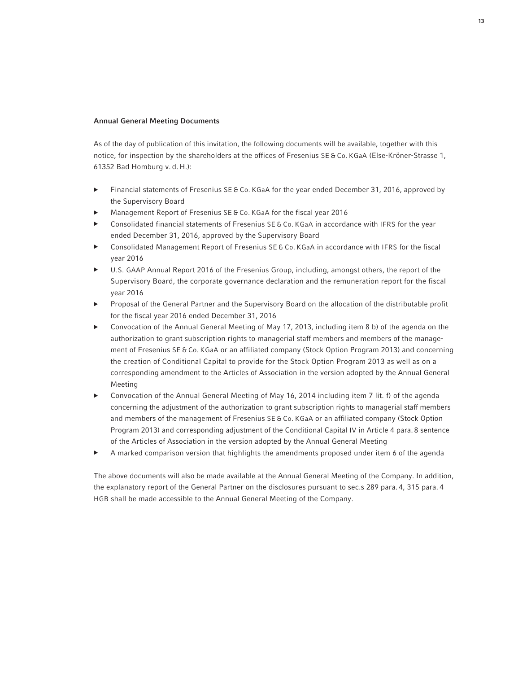#### Annual General Meeting Documents

As of the day of publication of this invitation, the following documents will be available, together with this notice, for inspection by the shareholders at the offices of Fresenius SE & Co. KGaA (Else-Kröner-Strasse 1, 61352 Bad Homburg v. d. H.):

- Financial statements of Fresenius SE & Co. KGaA for the year ended December 31, 2016, approved by the Supervisory Board
- ▶ Management Report of Fresenius SE & Co. KGaA for the fiscal year 2016
- Consolidated financial statements of Fresenius SE & Co. KGaA in accordance with IFRS for the year ended December 31, 2016, approved by the Supervisory Board
- ▶ Consolidated Management Report of Fresenius SE & Co. KGaA in accordance with IFRS for the fiscal year 2016
- U.S. GAAP Annual Report 2016 of the Fresenius Group, including, amongst others, the report of the Supervisory Board, the corporate governance declaration and the remuneration report for the fiscal year 2016
- Proposal of the General Partner and the Supervisory Board on the allocation of the distributable profit for the fiscal year 2016 ended December 31, 2016
- Convocation of the Annual General Meeting of May 17, 2013, including item 8 b) of the agenda on the authorization to grant subscription rights to managerial staff members and members of the management of Fresenius SE & Co. KGaA or an affiliated company (Stock Option Program 2013) and concerning the creation of Conditional Capital to provide for the Stock Option Program 2013 as well as on a corresponding amendment to the Articles of Association in the version adopted by the Annual General Meeting
- Convocation of the Annual General Meeting of May 16, 2014 including item 7 lit. f) of the agenda concerning the adjustment of the authorization to grant subscription rights to managerial staff members and members of the management of Fresenius SE & Co. KGaA or an affiliated company (Stock Option Program 2013) and corresponding adjustment of the Conditional Capital IV in Article 4 para. 8 sentence of the Articles of Association in the version adopted by the Annual General Meeting
- A marked comparison version that highlights the amendments proposed under item 6 of the agenda

The above documents will also be made available at the Annual General Meeting of the Company. In addition, the explanatory report of the General Partner on the disclosures pursuant to sec.s 289 para. 4, 315 para. 4 HGB shall be made accessible to the Annual General Meeting of the Company.